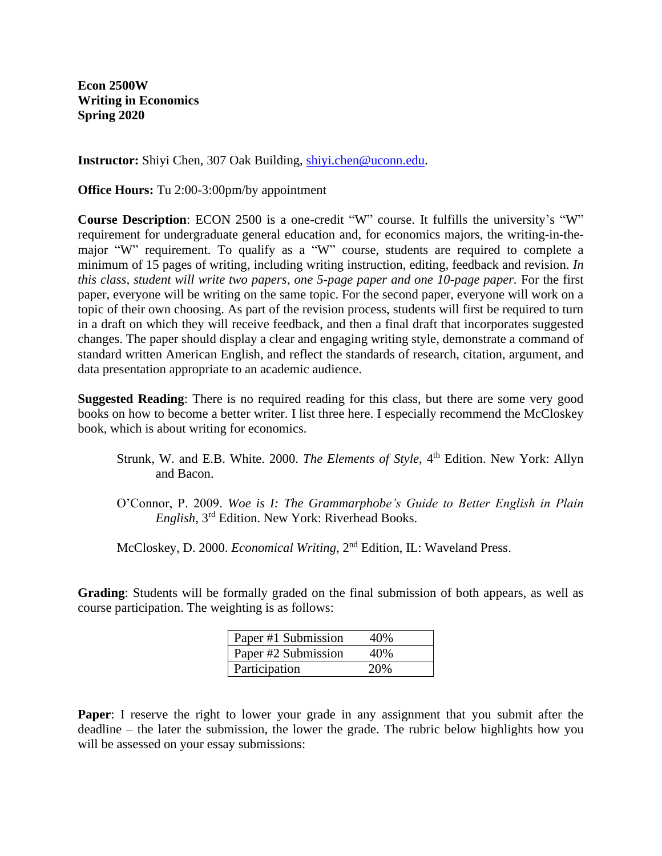**Econ 2500W Writing in Economics Spring 2020**

**Instructor:** Shiyi Chen, 307 Oak Building, [shiyi.chen@uconn.edu.](mailto:shiyi.chen@uconn.edu)

**Office Hours:** Tu 2:00-3:00pm/by appointment

**Course Description**: ECON 2500 is a one-credit "W" course. It fulfills the university's "W" requirement for undergraduate general education and, for economics majors, the writing-in-themajor "W" requirement. To qualify as a "W" course, students are required to complete a minimum of 15 pages of writing, including writing instruction, editing, feedback and revision. *In this class, student will write two papers, one 5-page paper and one 10-page paper.* For the first paper, everyone will be writing on the same topic. For the second paper, everyone will work on a topic of their own choosing. As part of the revision process, students will first be required to turn in a draft on which they will receive feedback, and then a final draft that incorporates suggested changes. The paper should display a clear and engaging writing style, demonstrate a command of standard written American English, and reflect the standards of research, citation, argument, and data presentation appropriate to an academic audience.

**Suggested Reading**: There is no required reading for this class, but there are some very good books on how to become a better writer. I list three here. I especially recommend the McCloskey book, which is about writing for economics.

- Strunk, W. and E.B. White. 2000. *The Elements of Style*, 4<sup>th</sup> Edition. New York: Allyn and Bacon.
- O'Connor, P. 2009. *Woe is I: The Grammarphobe's Guide to Better English in Plain English*, 3rd Edition. New York: Riverhead Books.
- McCloskey, D. 2000. *Economical Writing*, 2nd Edition, IL: Waveland Press.

**Grading**: Students will be formally graded on the final submission of both appears, as well as course participation. The weighting is as follows:

| Paper #1 Submission | 40%  |
|---------------------|------|
| Paper #2 Submission | 40%  |
| Participation       | 20\% |

**Paper**: I reserve the right to lower your grade in any assignment that you submit after the deadline – the later the submission, the lower the grade. The rubric below highlights how you will be assessed on your essay submissions: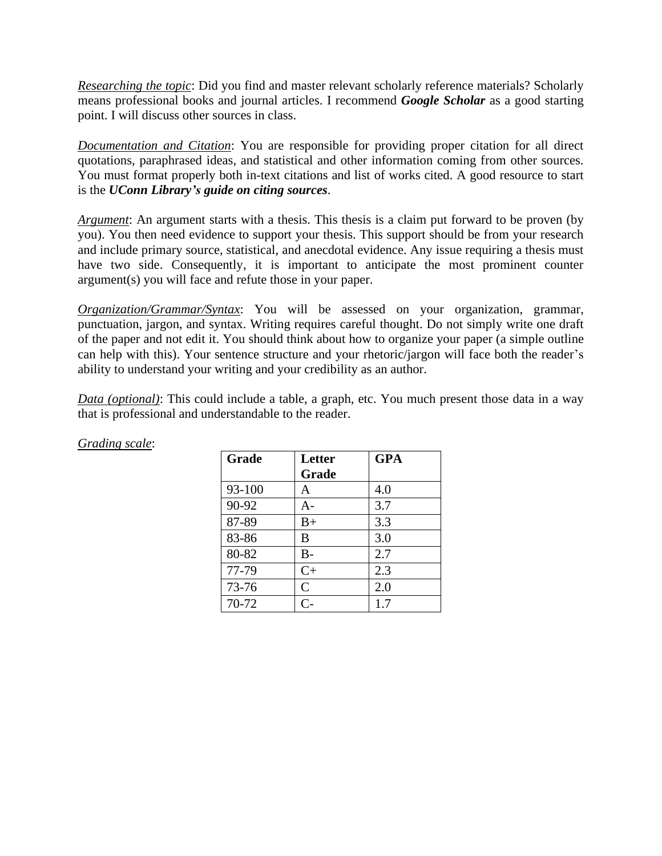*Researching the topic*: Did you find and master relevant scholarly reference materials? Scholarly means professional books and journal articles. I recommend *Google Scholar* as a good starting point. I will discuss other sources in class.

*Documentation and Citation*: You are responsible for providing proper citation for all direct quotations, paraphrased ideas, and statistical and other information coming from other sources. You must format properly both in-text citations and list of works cited. A good resource to start is the *UConn Library's guide on citing sources*.

*Argument*: An argument starts with a thesis. This thesis is a claim put forward to be proven (by you). You then need evidence to support your thesis. This support should be from your research and include primary source, statistical, and anecdotal evidence. Any issue requiring a thesis must have two side. Consequently, it is important to anticipate the most prominent counter argument(s) you will face and refute those in your paper.

*Organization/Grammar/Syntax*: You will be assessed on your organization, grammar, punctuation, jargon, and syntax. Writing requires careful thought. Do not simply write one draft of the paper and not edit it. You should think about how to organize your paper (a simple outline can help with this). Your sentence structure and your rhetoric/jargon will face both the reader's ability to understand your writing and your credibility as an author.

*Data (optional)*: This could include a table, a graph, etc. You much present those data in a way that is professional and understandable to the reader.

| Grade  | <b>Letter</b> | <b>GPA</b> |
|--------|---------------|------------|
|        | Grade         |            |
| 93-100 | A             | 4.0        |
| 90-92  | A-            | 3.7        |
| 87-89  | $B+$          | 3.3        |
| 83-86  | B             | 3.0        |
| 80-82  | $B -$         | 2.7        |
| 77-79  | $C+$          | 2.3        |
| 73-76  | $\mathsf{C}$  | 2.0        |
| 70-72  | $C-$          | 1.7        |

## *Grading scale*: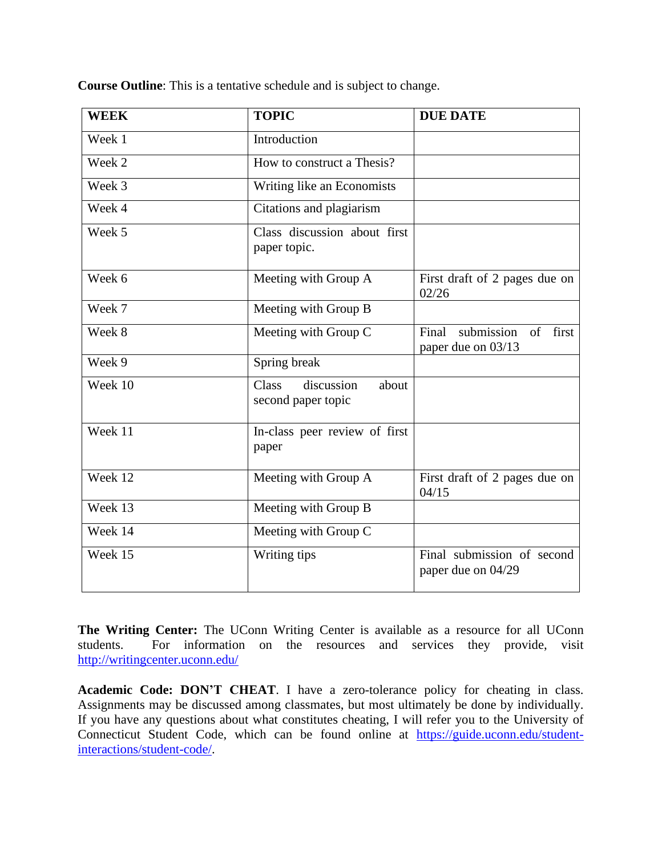| <b>WEEK</b> | <b>TOPIC</b>                                              | <b>DUE DATE</b>                                                |
|-------------|-----------------------------------------------------------|----------------------------------------------------------------|
| Week 1      | Introduction                                              |                                                                |
| Week 2      | How to construct a Thesis?                                |                                                                |
| Week 3      | Writing like an Economists                                |                                                                |
| Week 4      | Citations and plagiarism                                  |                                                                |
| Week 5      | Class discussion about first<br>paper topic.              |                                                                |
| Week 6      | Meeting with Group A                                      | First draft of 2 pages due on<br>02/26                         |
| Week 7      | Meeting with Group B                                      |                                                                |
| Week 8      | Meeting with Group C                                      | submission<br>first<br>Final<br>$\sigma$<br>paper due on 03/13 |
| Week 9      | Spring break                                              |                                                                |
| Week 10     | discussion<br><b>Class</b><br>about<br>second paper topic |                                                                |
| Week 11     | In-class peer review of first<br>paper                    |                                                                |
| Week 12     | Meeting with Group A                                      | First draft of 2 pages due on<br>04/15                         |
| Week 13     | Meeting with Group B                                      |                                                                |
| Week 14     | Meeting with Group C                                      |                                                                |
| Week 15     | Writing tips                                              | Final submission of second<br>paper due on 04/29               |

**Course Outline**: This is a tentative schedule and is subject to change.

**The Writing Center:** The UConn Writing Center is available as a resource for all UConn students. For information on the resources and services they provide, visit <http://writingcenter.uconn.edu/>

**Academic Code: DON'T CHEAT**. I have a zero-tolerance policy for cheating in class. Assignments may be discussed among classmates, but most ultimately be done by individually. If you have any questions about what constitutes cheating, I will refer you to the University of Connecticut Student Code, which can be found online at [https://guide.uconn.edu/student](https://guide.uconn.edu/student-interactions/student-code/)[interactions/student-code/.](https://guide.uconn.edu/student-interactions/student-code/)